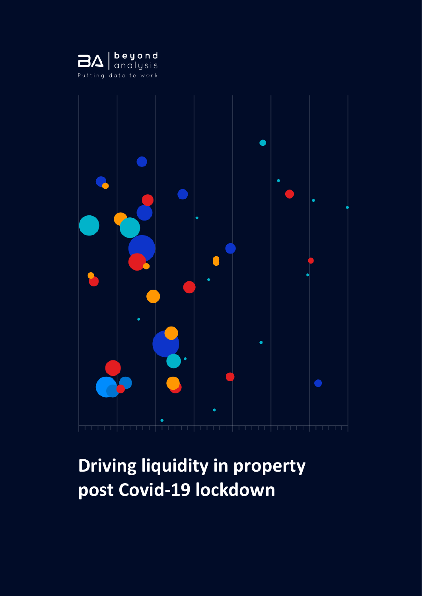



# **Driving liquidity in property post Covid-19 lockdown**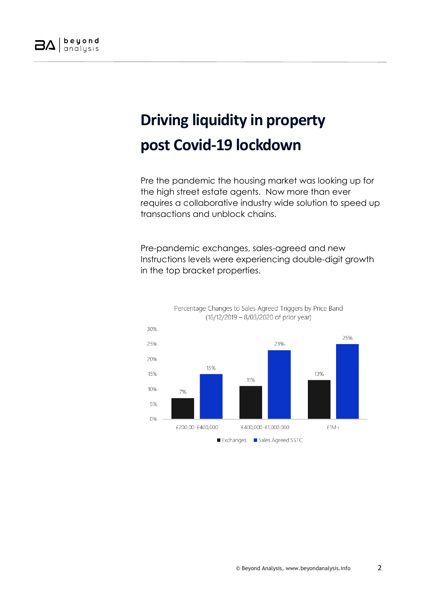

# **Driving liquidity in property post Covid-19 lockdown**

Pre the pandemic the housing market was looking up for the high street estate agents. Now more than ever requires a collaborative industry wide solution to speed up transactions and unblock chains.

Pre-pandemic exchanges, sales-agreed and new Instructions levels were experiencing double-digit growth in the top bracket properties.

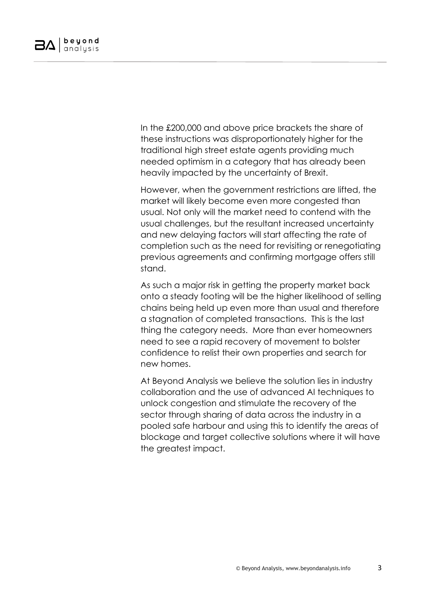In the £200,000 and above price brackets the share of these instructions was disproportionately higher for the traditional high street estate agents providing much needed optimism in a category that has already been heavily impacted by the uncertainty of Brexit.

However, when the government restrictions are lifted, the market will likely become even more congested than usual. Not only will the market need to contend with the usual challenges, but the resultant increased uncertainty and new delaying factors will start affecting the rate of completion such as the need for revisiting or renegotiating previous agreements and confirming mortgage offers still stand.

As such a major risk in getting the property market back onto a steady footing will be the higher likelihood of selling chains being held up even more than usual and therefore a stagnation of completed transactions. This is the last thing the category needs. More than ever homeowners need to see a rapid recovery of movement to bolster confidence to relist their own properties and search for new homes.

At Beyond Analysis we believe the solution lies in industry collaboration and the use of advanced AI techniques to unlock congestion and stimulate the recovery of the sector through sharing of data across the industry in a pooled safe harbour and using this to identify the areas of blockage and target collective solutions where it will have the greatest impact.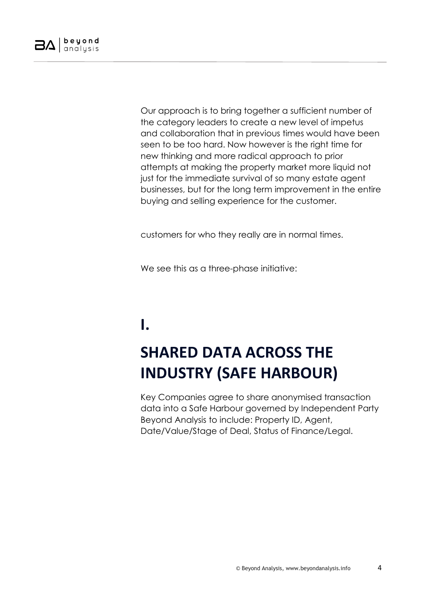

Our approach is to bring together a sufficient number of the category leaders to create a new level of impetus and collaboration that in previous times would have been seen to be too hard. Now however is the right time for new thinking and more radical approach to prior attempts at making the property market more liquid not just for the immediate survival of so many estate agent businesses, but for the long term improvement in the entire buying and selling experience for the customer.

customers for who they really are in normal times.

We see this as a three-phase initiative:

### **I.**

# **SHARED DATA ACROSS THE INDUSTRY (SAFE HARBOUR)**

Key Companies agree to share anonymised transaction data into a Safe Harbour governed by Independent Party Beyond Analysis to include: Property ID, Agent, Date/Value/Stage of Deal, Status of Finance/Legal.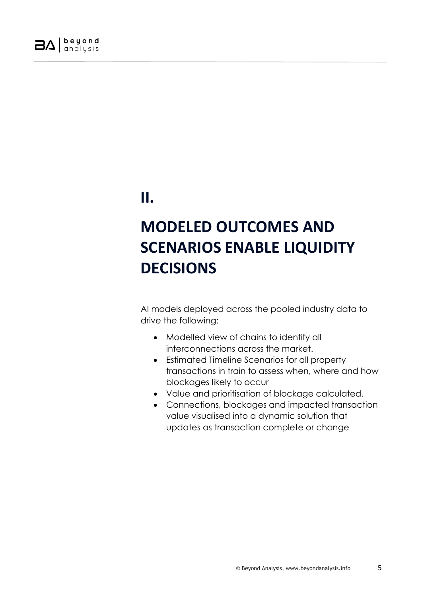

**II.**

## **MODELED OUTCOMES AND SCENARIOS ENABLE LIQUIDITY DECISIONS**

AI models deployed across the pooled industry data to drive the following:

- Modelled view of chains to identify all interconnections across the market.
- Estimated Timeline Scenarios for all property transactions in train to assess when, where and how blockages likely to occur
- Value and prioritisation of blockage calculated.
- Connections, blockages and impacted transaction value visualised into a dynamic solution that updates as transaction complete or change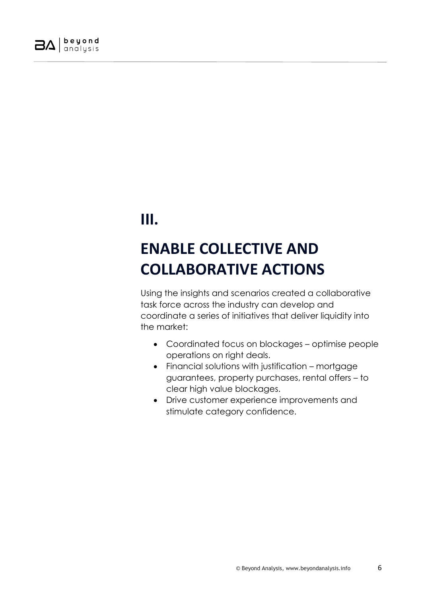

#### **III.**

## **ENABLE COLLECTIVE AND COLLABORATIVE ACTIONS**

Using the insights and scenarios created a collaborative task force across the industry can develop and coordinate a series of initiatives that deliver liquidity into the market:

- Coordinated focus on blockages optimise people operations on right deals.
- Financial solutions with justification mortgage guarantees, property purchases, rental offers – to clear high value blockages.
- Drive customer experience improvements and stimulate category confidence.